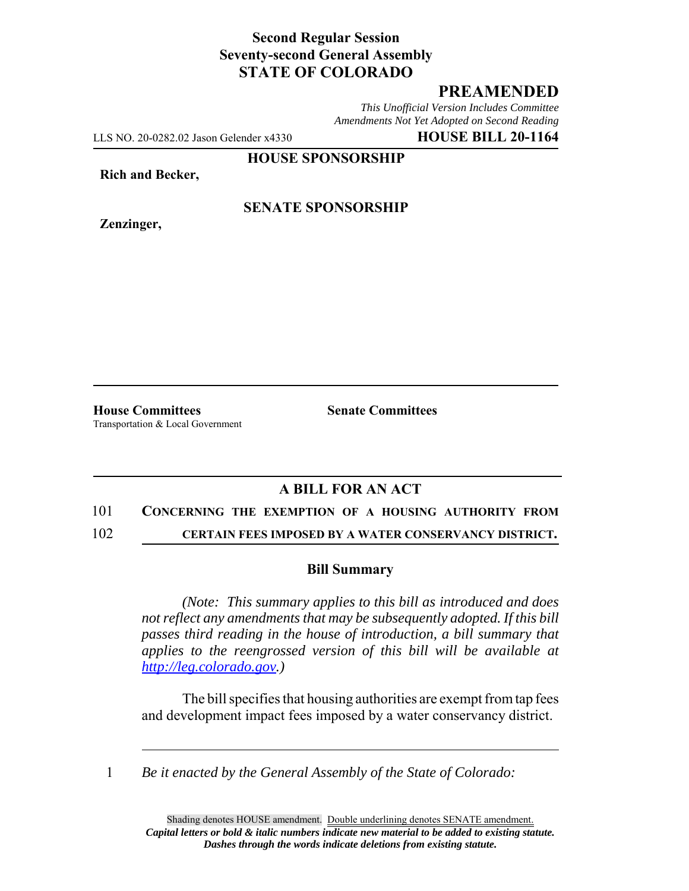# **Second Regular Session Seventy-second General Assembly STATE OF COLORADO**

# **PREAMENDED**

*This Unofficial Version Includes Committee Amendments Not Yet Adopted on Second Reading*

LLS NO. 20-0282.02 Jason Gelender x4330 **HOUSE BILL 20-1164**

**HOUSE SPONSORSHIP**

**Rich and Becker,**

**Zenzinger,**

### **SENATE SPONSORSHIP**

**House Committees Senate Committees** Transportation & Local Government

## **A BILL FOR AN ACT**

#### 101 **CONCERNING THE EXEMPTION OF A HOUSING AUTHORITY FROM**

102 **CERTAIN FEES IMPOSED BY A WATER CONSERVANCY DISTRICT.**

### **Bill Summary**

*(Note: This summary applies to this bill as introduced and does not reflect any amendments that may be subsequently adopted. If this bill passes third reading in the house of introduction, a bill summary that applies to the reengrossed version of this bill will be available at http://leg.colorado.gov.)*

The bill specifies that housing authorities are exempt from tap fees and development impact fees imposed by a water conservancy district.

1 *Be it enacted by the General Assembly of the State of Colorado:*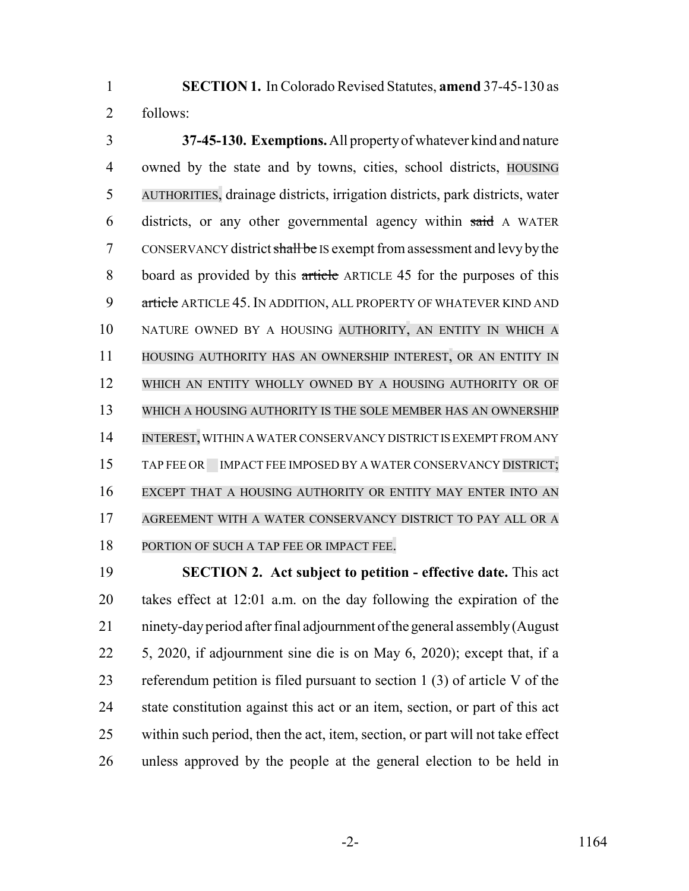**SECTION 1.** In Colorado Revised Statutes, **amend** 37-45-130 as follows:

 **37-45-130. Exemptions.** All property of whatever kind and nature owned by the state and by towns, cities, school districts, HOUSING AUTHORITIES, drainage districts, irrigation districts, park districts, water districts, or any other governmental agency within said A WATER 7 CONSERVANCY district shall be IS exempt from assessment and levy by the board as provided by this article ARTICLE 45 for the purposes of this 9 article ARTICLE 45. IN ADDITION, ALL PROPERTY OF WHATEVER KIND AND NATURE OWNED BY A HOUSING AUTHORITY, AN ENTITY IN WHICH A HOUSING AUTHORITY HAS AN OWNERSHIP INTEREST, OR AN ENTITY IN WHICH AN ENTITY WHOLLY OWNED BY A HOUSING AUTHORITY OR OF WHICH A HOUSING AUTHORITY IS THE SOLE MEMBER HAS AN OWNERSHIP INTEREST, WITHIN A WATER CONSERVANCY DISTRICT IS EXEMPT FROM ANY 15 TAP FEE OR IMPACT FEE IMPOSED BY A WATER CONSERVANCY DISTRICT; EXCEPT THAT A HOUSING AUTHORITY OR ENTITY MAY ENTER INTO AN AGREEMENT WITH A WATER CONSERVANCY DISTRICT TO PAY ALL OR A 18 PORTION OF SUCH A TAP FEE OR IMPACT FEE.

 **SECTION 2. Act subject to petition - effective date.** This act takes effect at 12:01 a.m. on the day following the expiration of the ninety-day period after final adjournment of the general assembly (August 5, 2020, if adjournment sine die is on May 6, 2020); except that, if a referendum petition is filed pursuant to section 1 (3) of article V of the state constitution against this act or an item, section, or part of this act within such period, then the act, item, section, or part will not take effect unless approved by the people at the general election to be held in